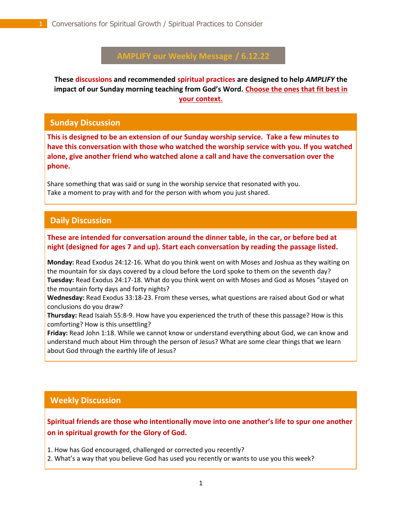# **AMPLIFY our Weekly Message / 6.12.22**

**These discussions and recommended spiritual practices are designed to help** *AMPLIFY* **the impact of our Sunday morning teaching from God's Word. Choose the ones that fit best in your context.**

#### **Sunday Discussion**

**This is designed to be an extension of our Sunday worship service. Take a few minutes to have this conversation with those who watched the worship service with you. If you watched alone, give another friend who watched alone a call and have the conversation over the phone.**

Share something that was said or sung in the worship service that resonated with you. Take a moment to pray with and for the person with whom you just shared.

## **Daily Discussion**

#### . **These are intended for conversation around the dinner table, in the car, or before bed at night (designed for ages 7 and up). Start each conversation by reading the passage listed.**

**Monday:** Read Exodus 24:12-16. What do you think went on with Moses and Joshua as they waiting on the mountain for six days covered by a cloud before the Lord spoke to them on the seventh day? **Tuesday:** Read Exodus 24:17-18. What do you think went on with Moses and God as Moses "stayed on the mountain forty days and forty nights?

**Wednesday:** Read Exodus 33:18-23. From these verses, what questions are raised about God or what conclusions do you draw?

**Thursday:** Read Isaiah 55:8-9. How have you experienced the truth of these this passage? How is this comforting? How is this unsettling?

**Friday:** Read John 1:18. While we cannot know or understand everything about God, we can know and understand much about Him through the person of Jesus? What are some clear things that we learn about God through the earthly life of Jesus?

#### **Weekly Discussion**

**Spiritual friends are those who intentionally move into one another's life to spur one another on in spiritual growth for the Glory of God.** 

1. How has God encouraged, challenged or corrected you recently?

2. What's a way that you believe God has used you recently or wants to use you this week?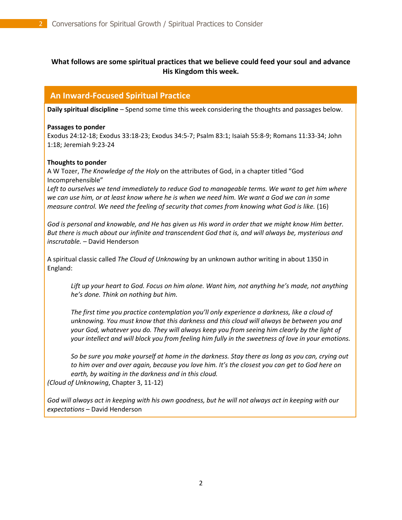## **What follows are some spiritual practices that we believe could feed your soul and advance His Kingdom this week.**

## **An Inward-Focused Spiritual Practice**

**Daily spiritual discipline** – Spend some time this week considering the thoughts and passages below.

#### **Passages to ponder**

Exodus 24:12-18; Exodus 33:18-23; Exodus 34:5-7; Psalm 83:1; Isaiah 55:8-9; Romans 11:33-34; John 1:18; Jeremiah 9:23-24

#### **Thoughts to ponder**

A W Tozer, *The Knowledge of the Holy* on the attributes of God, in a chapter titled "God Incomprehensible"

*Left to ourselves we tend immediately to reduce God to manageable terms. We want to get him where we can use him, or at least know where he is when we need him. We want a God we can in some measure control. We need the feeling of security that comes from knowing what God is like.* (16)

*God is personal and knowable, and He has given us His word in order that we might know Him better. But there is much about our infinite and transcendent God that is, and will always be, mysterious and inscrutable.* – David Henderson

A spiritual classic called *The Cloud of Unknowing* by an unknown author writing in about 1350 in England:

Lift up your heart to God. Focus on him alone. Want him, not anything he's made, not anything *he's done. Think on nothing but him.* 

*The first time you practice contemplation you'll only experience a darkness, like a cloud of unknowing. You must know that this darkness and this cloud will always be between you and your God, whatever you do. They will always keep you from seeing him clearly by the light of your intellect and will block you from feeling him fully in the sweetness of love in your emotions.* 

*So be sure you make yourself at home in the darkness. Stay there as long as you can, crying out to him over and over again, because you love him. It's the closest you can get to God here on earth, by waiting in the darkness and in this cloud.*

*(Cloud of Unknowing*, Chapter 3, 11-12)

*God will always act in keeping with his own goodness, but he will not always act in keeping with our expectations* – David Henderson